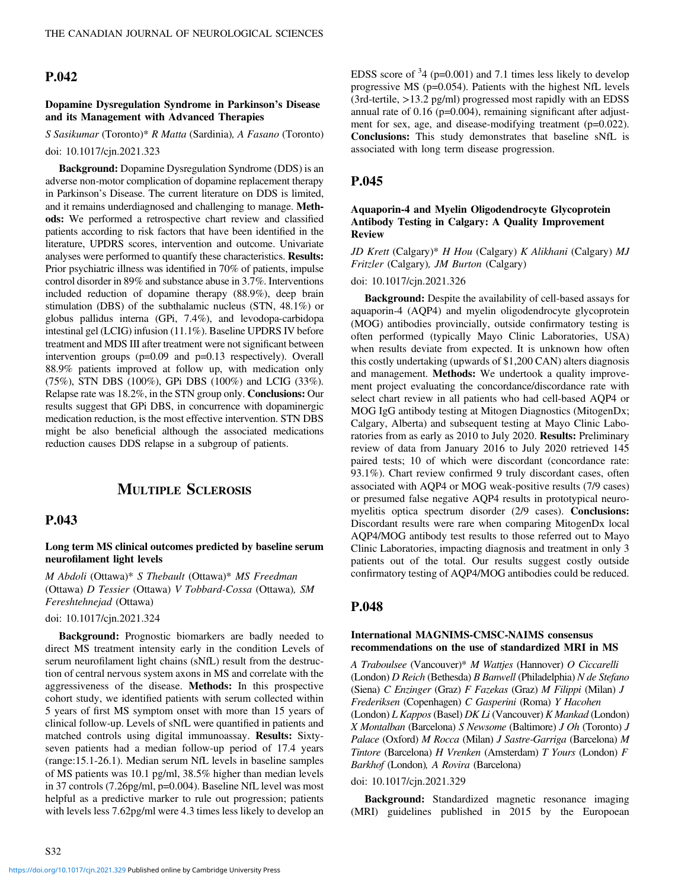# P.042

## Dopamine Dysregulation Syndrome in Parkinson's Disease and its Management with Advanced Therapies

S Sasikumar (Toronto)\* R Matta (Sardinia), A Fasano (Toronto) doi: 10.1017/cjn.2021.323

Background: Dopamine Dysregulation Syndrome (DDS) is an adverse non-motor complication of dopamine replacement therapy in Parkinson's Disease. The current literature on DDS is limited, and it remains underdiagnosed and challenging to manage. Methods: We performed a retrospective chart review and classified patients according to risk factors that have been identified in the literature, UPDRS scores, intervention and outcome. Univariate analyses were performed to quantify these characteristics. Results: Prior psychiatric illness was identified in 70% of patients, impulse control disorder in 89% and substance abuse in 3.7%. Interventions included reduction of dopamine therapy (88.9%), deep brain stimulation (DBS) of the subthalamic nucleus (STN, 48.1%) or globus pallidus interna (GPi, 7.4%), and levodopa-carbidopa intestinal gel (LCIG) infusion (11.1%). Baseline UPDRS IV before treatment and MDS III after treatment were not significant between intervention groups (p=0.09 and p=0.13 respectively). Overall 88.9% patients improved at follow up, with medication only (75%), STN DBS (100%), GPi DBS (100%) and LCIG (33%). Relapse rate was 18.2%, in the STN group only. Conclusions: Our results suggest that GPi DBS, in concurrence with dopaminergic medication reduction, is the most effective intervention. STN DBS might be also beneficial although the associated medications reduction causes DDS relapse in a subgroup of patients.

# MULTIPLE SCLEROSIS

# P.043

Long term MS clinical outcomes predicted by baseline serum neurofilament light levels

M Abdoli (Ottawa)\* S Thebault (Ottawa)\* MS Freedman (Ottawa) D Tessier (Ottawa) V Tobbard-Cossa (Ottawa), SM Fereshtehnejad (Ottawa)

#### doi: 10.1017/cjn.2021.324

Background: Prognostic biomarkers are badly needed to direct MS treatment intensity early in the condition Levels of serum neurofilament light chains (sNfL) result from the destruction of central nervous system axons in MS and correlate with the aggressiveness of the disease. Methods: In this prospective cohort study, we identified patients with serum collected within 5 years of first MS symptom onset with more than 15 years of clinical follow-up. Levels of sNfL were quantified in patients and matched controls using digital immunoassay. Results: Sixtyseven patients had a median follow-up period of 17.4 years (range:15.1-26.1). Median serum NfL levels in baseline samples of MS patients was 10.1 pg/ml, 38.5% higher than median levels in 37 controls (7.26pg/ml, p=0.004). Baseline NfL level was most helpful as a predictive marker to rule out progression; patients with levels less 7.62pg/ml were 4.3 times less likely to develop an

EDSS score of  $34$  (p=0.001) and 7.1 times less likely to develop progressive MS  $(p=0.054)$ . Patients with the highest NfL levels  $(3rd-tertile, >13.2$  pg/ml) progressed most rapidly with an EDSS annual rate of 0.16 (p=0.004), remaining significant after adjustment for sex, age, and disease-modifying treatment (p=0.022). Conclusions: This study demonstrates that baseline sNfL is associated with long term disease progression.

## P.045

## Aquaporin-4 and Myelin Oligodendrocyte Glycoprotein Antibody Testing in Calgary: A Quality Improvement Review

JD Krett (Calgary)\* H Hou (Calgary) K Alikhani (Calgary) MJ Fritzler (Calgary), JM Burton (Calgary)

doi: 10.1017/cjn.2021.326

Background: Despite the availability of cell-based assays for aquaporin-4 (AQP4) and myelin oligodendrocyte glycoprotein (MOG) antibodies provincially, outside confirmatory testing is often performed (typically Mayo Clinic Laboratories, USA) when results deviate from expected. It is unknown how often this costly undertaking (upwards of \$1,200 CAN) alters diagnosis and management. Methods: We undertook a quality improvement project evaluating the concordance/discordance rate with select chart review in all patients who had cell-based AQP4 or MOG IgG antibody testing at Mitogen Diagnostics (MitogenDx; Calgary, Alberta) and subsequent testing at Mayo Clinic Laboratories from as early as 2010 to July 2020. Results: Preliminary review of data from January 2016 to July 2020 retrieved 145 paired tests; 10 of which were discordant (concordance rate: 93.1%). Chart review confirmed 9 truly discordant cases, often associated with AQP4 or MOG weak-positive results (7/9 cases) or presumed false negative AQP4 results in prototypical neuromyelitis optica spectrum disorder (2/9 cases). Conclusions: Discordant results were rare when comparing MitogenDx local AQP4/MOG antibody test results to those referred out to Mayo Clinic Laboratories, impacting diagnosis and treatment in only 3 patients out of the total. Our results suggest costly outside confirmatory testing of AQP4/MOG antibodies could be reduced.

## P.048

### International MAGNIMS-CMSC-NAIMS consensus recommendations on the use of standardized MRI in MS

A Traboulsee (Vancouver)\* M Wattjes (Hannover) O Ciccarelli (London) D Reich (Bethesda) B Banwell (Philadelphia) N de Stefano (Siena) C Enzinger (Graz) F Fazekas (Graz) M Filippi (Milan) J Frederiksen (Copenhagen) C Gasperini (Roma) Y Hacohen (London) L Kappos (Basel) DK Li (Vancouver) K Mankad (London) X Montalban (Barcelona) S Newsome (Baltimore) J Oh (Toronto) J Palace (Oxford) M Rocca (Milan) J Sastre-Garriga (Barcelona) M Tintore (Barcelona) H Vrenken (Amsterdam) T Yours (London) F Barkhof (London), A Rovira (Barcelona)

#### doi: 10.1017/cjn.2021.329

Background: Standardized magnetic resonance imaging (MRI) guidelines published in 2015 by the Europoean